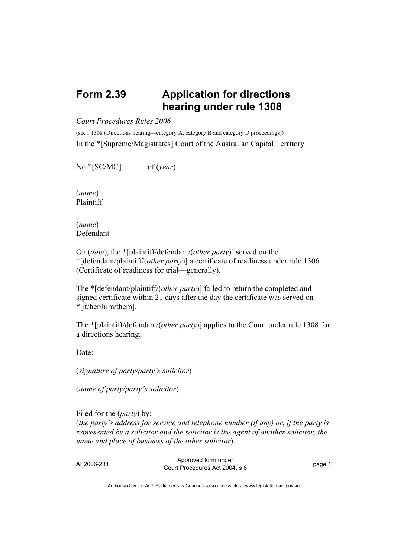## **Form 2.39 Application for directions hearing under rule 1308**

## *Court Procedures Rules 2006*

(see r 1308 (Directions hearing—category A, category B and category D proceedings)) In the \*[Supreme/Magistrates] Court of the Australian Capital Territory

No \*[SC/MC] of (*year*)

(*name*) Plaintiff

(*name*) Defendant

On (*date*), the \*[plaintiff/defendant/(*other party*)] served on the \*[defendant/plaintiff/(*other party*)] a certificate of readiness under rule 1306 (Certificate of readiness for trial—generally).

The \*[defendant/plaintiff/(*other party*)] failed to return the completed and signed certificate within 21 days after the day the certificate was served on \*[it/her/him/them].

The \*[plaintiff/defendant/(*other party*)] applies to the Court under rule 1308 for a directions hearing.

Date:

(*signature of party/party's solicitor*)

(*name of party/party's solicitor*)

Filed for the (*party*) by: (*the party's address for service and telephone number (if any) or*, *if the party is represented by a solicitor and the solicitor is the agent of another solicitor, the name and place of business of the other solicitor*)

AF2006-284 Approved form under Procedures Act 2004, s 8 page 1

Authorised by the ACT Parliamentary Counsel—also accessible at www.legislation.act.gov.au